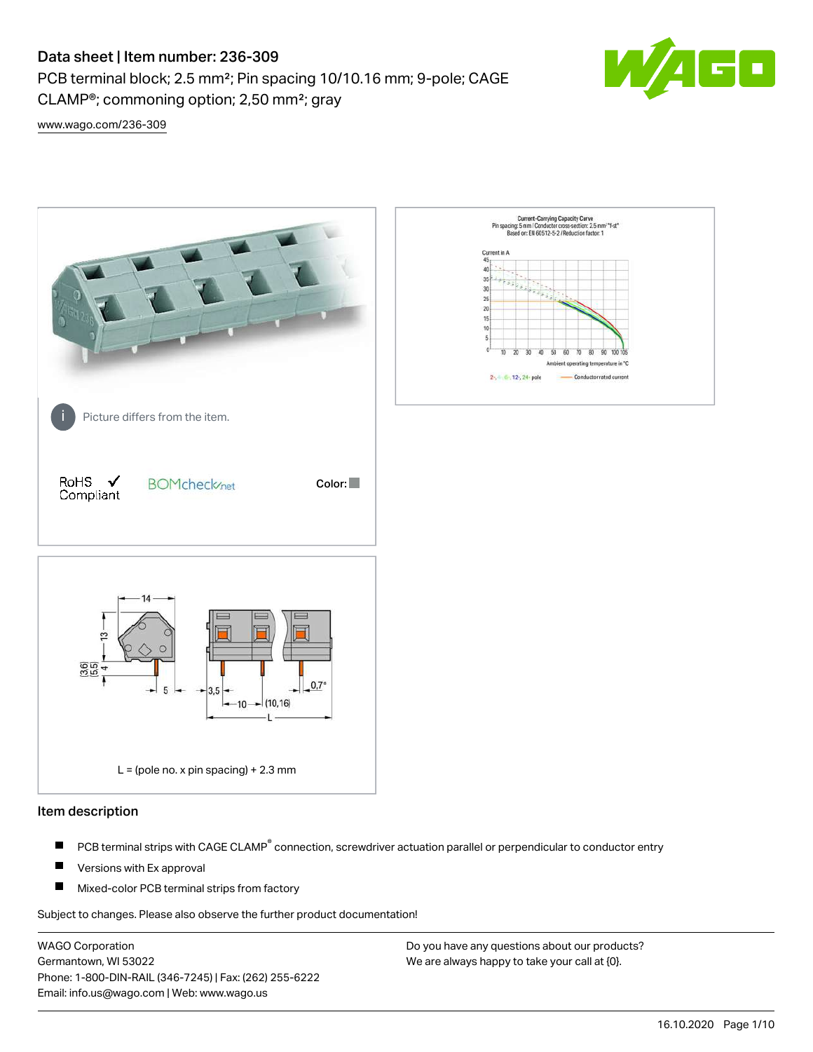# Data sheet | Item number: 236-309

PCB terminal block; 2.5 mm²; Pin spacing 10/10.16 mm; 9-pole; CAGE CLAMP®; commoning option; 2,50 mm²; gray



[www.wago.com/236-309](http://www.wago.com/236-309)



### Item description

- PCB terminal strips with CAGE CLAMP<sup>®</sup> connection, screwdriver actuation parallel or perpendicular to conductor entry П
- П Versions with Ex approval
- П Mixed-color PCB terminal strips from factory

Subject to changes. Please also observe the further product documentation!

WAGO Corporation Germantown, WI 53022 Phone: 1-800-DIN-RAIL (346-7245) | Fax: (262) 255-6222 Email: info.us@wago.com | Web: www.wago.us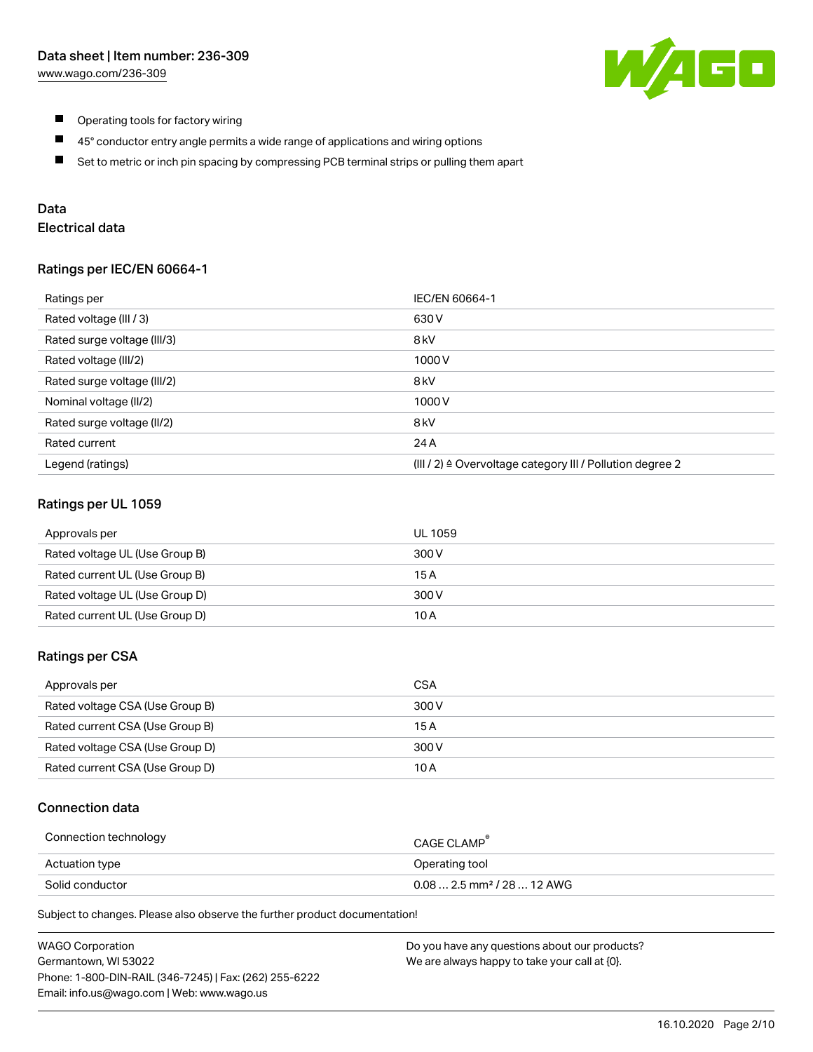

- $\blacksquare$ Operating tools for factory wiring
- $\blacksquare$ 45° conductor entry angle permits a wide range of applications and wiring options
- $\blacksquare$ Set to metric or inch pin spacing by compressing PCB terminal strips or pulling them apart

# Data

# Electrical data

## Ratings per IEC/EN 60664-1

| Ratings per                 | IEC/EN 60664-1                                                        |
|-----------------------------|-----------------------------------------------------------------------|
| Rated voltage (III / 3)     | 630 V                                                                 |
| Rated surge voltage (III/3) | 8 <sub>kV</sub>                                                       |
| Rated voltage (III/2)       | 1000V                                                                 |
| Rated surge voltage (III/2) | 8 <sub>kV</sub>                                                       |
| Nominal voltage (II/2)      | 1000V                                                                 |
| Rated surge voltage (II/2)  | 8 <sub>kV</sub>                                                       |
| Rated current               | 24 A                                                                  |
| Legend (ratings)            | $(III / 2)$ $\triangle$ Overvoltage category III / Pollution degree 2 |

## Ratings per UL 1059

| Approvals per                  | UL 1059 |
|--------------------------------|---------|
| Rated voltage UL (Use Group B) | 300 V   |
| Rated current UL (Use Group B) | 15 A    |
| Rated voltage UL (Use Group D) | 300 V   |
| Rated current UL (Use Group D) | 10 A    |

## Ratings per CSA

| Approvals per                   | CSA   |
|---------------------------------|-------|
| Rated voltage CSA (Use Group B) | 300 V |
| Rated current CSA (Use Group B) | 15 A  |
| Rated voltage CSA (Use Group D) | 300 V |
| Rated current CSA (Use Group D) | 10 A  |

## Connection data

| Connection technology | CAGE CLAMP                              |
|-----------------------|-----------------------------------------|
| Actuation type        | Operating tool                          |
| Solid conductor       | $0.08$ 2.5 mm <sup>2</sup> / 28  12 AWG |

Subject to changes. Please also observe the further product documentation!

| <b>WAGO Corporation</b>                                | Do you have any questions about our products? |
|--------------------------------------------------------|-----------------------------------------------|
| Germantown, WI 53022                                   | We are always happy to take your call at {0}. |
| Phone: 1-800-DIN-RAIL (346-7245)   Fax: (262) 255-6222 |                                               |
| Email: info.us@wago.com   Web: www.wago.us             |                                               |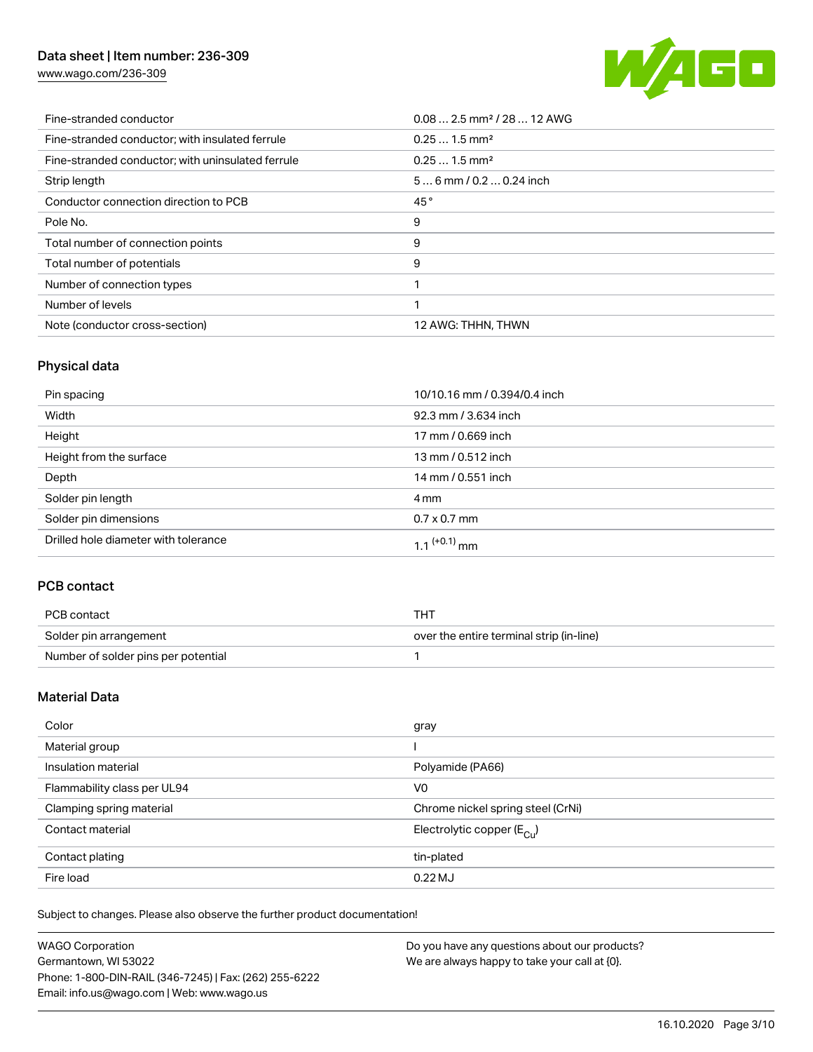# Data sheet | Item number: 236-309

[www.wago.com/236-309](http://www.wago.com/236-309)



| Fine-stranded conductor                           | $0.08$ 2.5 mm <sup>2</sup> / 28  12 AWG |
|---------------------------------------------------|-----------------------------------------|
| Fine-stranded conductor; with insulated ferrule   | $0.251.5$ mm <sup>2</sup>               |
| Fine-stranded conductor; with uninsulated ferrule | $0.251.5$ mm <sup>2</sup>               |
| Strip length                                      | $56$ mm / 0.2  0.24 inch                |
| Conductor connection direction to PCB             | 45°                                     |
| Pole No.                                          | 9                                       |
| Total number of connection points                 | 9                                       |
| Total number of potentials                        | 9                                       |
| Number of connection types                        |                                         |
| Number of levels                                  |                                         |
| Note (conductor cross-section)                    | 12 AWG: THHN, THWN                      |

# Physical data

| Pin spacing                          | 10/10.16 mm / 0.394/0.4 inch |
|--------------------------------------|------------------------------|
| Width                                | 92.3 mm / 3.634 inch         |
| Height                               | 17 mm / 0.669 inch           |
| Height from the surface              | 13 mm / 0.512 inch           |
| Depth                                | 14 mm / 0.551 inch           |
| Solder pin length                    | 4 mm                         |
| Solder pin dimensions                | $0.7 \times 0.7$ mm          |
| Drilled hole diameter with tolerance | 1.1 $(+0.1)$ mm              |

# PCB contact

| PCB contact                         | тнт                                      |
|-------------------------------------|------------------------------------------|
| Solder pin arrangement              | over the entire terminal strip (in-line) |
| Number of solder pins per potential |                                          |

# Material Data

| Color                       | gray                                  |
|-----------------------------|---------------------------------------|
| Material group              |                                       |
| Insulation material         | Polyamide (PA66)                      |
| Flammability class per UL94 | V <sub>0</sub>                        |
| Clamping spring material    | Chrome nickel spring steel (CrNi)     |
| Contact material            | Electrolytic copper $(E_{\text{CL}})$ |
| Contact plating             | tin-plated                            |
| Fire load                   | $0.22$ MJ                             |

Subject to changes. Please also observe the further product documentation!

| <b>WAGO Corporation</b>                                | Do you have any questions about our products? |
|--------------------------------------------------------|-----------------------------------------------|
| Germantown, WI 53022                                   | We are always happy to take your call at {0}. |
| Phone: 1-800-DIN-RAIL (346-7245)   Fax: (262) 255-6222 |                                               |
| Email: info.us@wago.com   Web: www.wago.us             |                                               |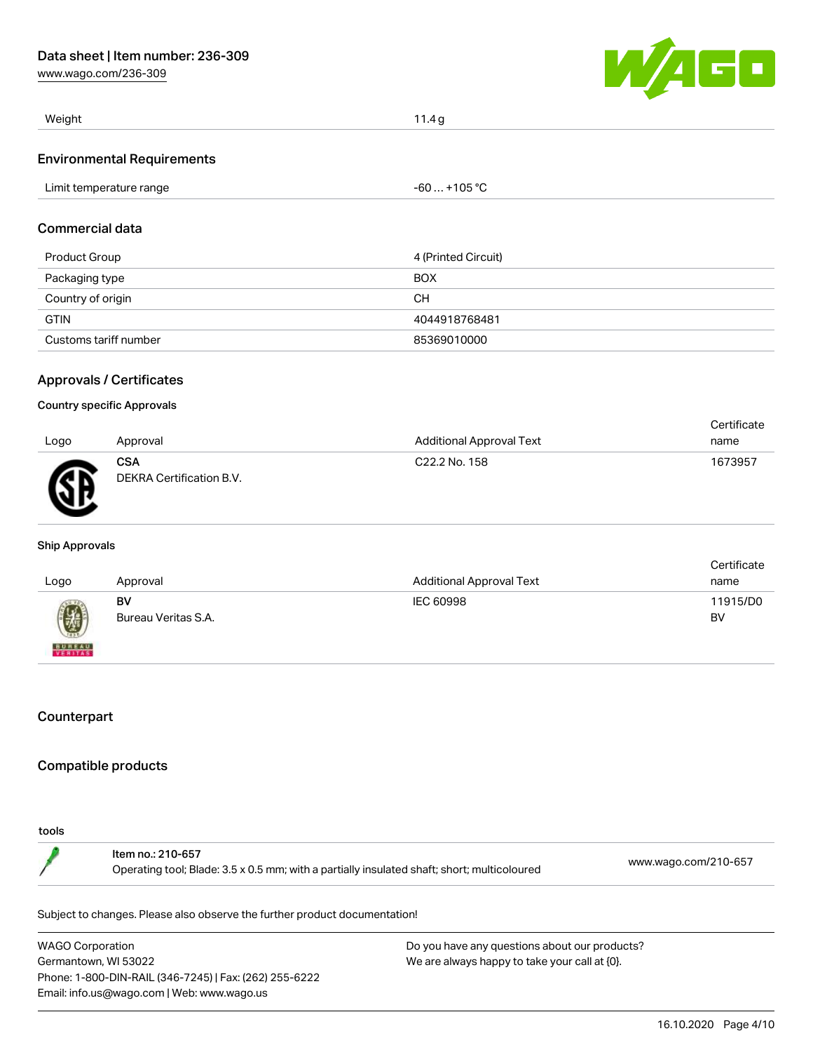[www.wago.com/236-309](http://www.wago.com/236-309)



| Weight                            | 11.4 $g$     |  |
|-----------------------------------|--------------|--|
| <b>Environmental Requirements</b> |              |  |
| Limit temperature range           | -60  +105 °C |  |
| Commoroial data                   |              |  |

#### Commercial data

| Product Group         | 4 (Printed Circuit) |
|-----------------------|---------------------|
| Packaging type        | <b>BOX</b>          |
| Country of origin     | CН                  |
| <b>GTIN</b>           | 4044918768481       |
| Customs tariff number | 85369010000         |

## Approvals / Certificates

#### Country specific Approvals

|      |                                        |                           | Certificate |
|------|----------------------------------------|---------------------------|-------------|
| Logo | Approval                               | Additional Approval Text  | name        |
| Ж    | <b>CSA</b><br>DEKRA Certification B.V. | C <sub>22.2</sub> No. 158 | 1673957     |

#### Ship Approvals

|                           |                     |                                 | Certificate |
|---------------------------|---------------------|---------------------------------|-------------|
| Logo                      | Approval            | <b>Additional Approval Text</b> | name        |
|                           | BV                  | IEC 60998                       | 11915/D0    |
| 0                         | Bureau Veritas S.A. |                                 | BV          |
| <b>BUREAU</b><br>VERITASS |                     |                                 |             |

# **Counterpart**

## Compatible products

# tools

| Item no.: 210-657                                                                           |                      |
|---------------------------------------------------------------------------------------------|----------------------|
| Operating tool; Blade: 3.5 x 0.5 mm; with a partially insulated shaft; short; multicoloured | www.wago.com/210-657 |

Subject to changes. Please also observe the further product documentation!

WAGO Corporation Germantown, WI 53022 Phone: 1-800-DIN-RAIL (346-7245) | Fax: (262) 255-6222 Email: info.us@wago.com | Web: www.wago.us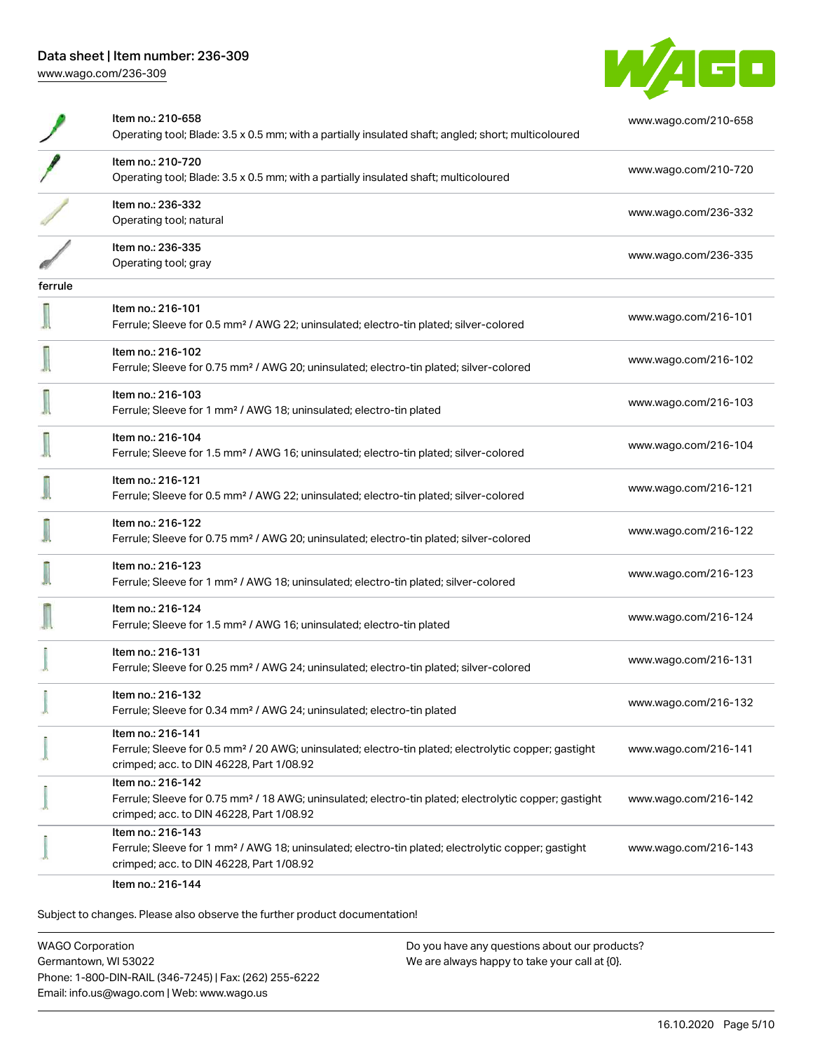

|         | Item no.: 210-658<br>Operating tool; Blade: 3.5 x 0.5 mm; with a partially insulated shaft; angled; short; multicoloured                                                           | www.wago.com/210-658 |
|---------|------------------------------------------------------------------------------------------------------------------------------------------------------------------------------------|----------------------|
|         | Item no.: 210-720<br>Operating tool; Blade: 3.5 x 0.5 mm; with a partially insulated shaft; multicoloured                                                                          | www.wago.com/210-720 |
|         | Item no.: 236-332<br>Operating tool; natural                                                                                                                                       | www.wago.com/236-332 |
|         | Item no.: 236-335<br>Operating tool; gray                                                                                                                                          | www.wago.com/236-335 |
| ferrule |                                                                                                                                                                                    |                      |
|         | Item no.: 216-101<br>Ferrule; Sleeve for 0.5 mm <sup>2</sup> / AWG 22; uninsulated; electro-tin plated; silver-colored                                                             | www.wago.com/216-101 |
|         | Item no.: 216-102<br>Ferrule; Sleeve for 0.75 mm <sup>2</sup> / AWG 20; uninsulated; electro-tin plated; silver-colored                                                            | www.wago.com/216-102 |
|         | Item no.: 216-103<br>Ferrule; Sleeve for 1 mm <sup>2</sup> / AWG 18; uninsulated; electro-tin plated                                                                               | www.wago.com/216-103 |
|         | Item no.: 216-104<br>Ferrule; Sleeve for 1.5 mm <sup>2</sup> / AWG 16; uninsulated; electro-tin plated; silver-colored                                                             | www.wago.com/216-104 |
|         | Item no.: 216-121<br>Ferrule; Sleeve for 0.5 mm <sup>2</sup> / AWG 22; uninsulated; electro-tin plated; silver-colored                                                             | www.wago.com/216-121 |
|         | Item no.: 216-122<br>Ferrule; Sleeve for 0.75 mm <sup>2</sup> / AWG 20; uninsulated; electro-tin plated; silver-colored                                                            | www.wago.com/216-122 |
|         | Item no.: 216-123<br>Ferrule; Sleeve for 1 mm <sup>2</sup> / AWG 18; uninsulated; electro-tin plated; silver-colored                                                               | www.wago.com/216-123 |
|         | Item no.: 216-124<br>Ferrule; Sleeve for 1.5 mm <sup>2</sup> / AWG 16; uninsulated; electro-tin plated                                                                             | www.wago.com/216-124 |
|         | Item no.: 216-131<br>Ferrule; Sleeve for 0.25 mm <sup>2</sup> / AWG 24; uninsulated; electro-tin plated; silver-colored                                                            | www.wago.com/216-131 |
|         | Item no.: 216-132<br>Ferrule; Sleeve for 0.34 mm <sup>2</sup> / AWG 24; uninsulated; electro-tin plated                                                                            | www.wago.com/216-132 |
|         | Item no.: 216-141<br>Ferrule; Sleeve for 0.5 mm <sup>2</sup> / 20 AWG; uninsulated; electro-tin plated; electrolytic copper; gastight<br>crimped; acc. to DIN 46228, Part 1/08.92  | www.wago.com/216-141 |
|         | Item no.: 216-142<br>Ferrule; Sleeve for 0.75 mm <sup>2</sup> / 18 AWG; uninsulated; electro-tin plated; electrolytic copper; gastight<br>crimped; acc. to DIN 46228, Part 1/08.92 | www.wago.com/216-142 |
|         | Item no.: 216-143<br>Ferrule; Sleeve for 1 mm <sup>2</sup> / AWG 18; uninsulated; electro-tin plated; electrolytic copper; gastight<br>crimped; acc. to DIN 46228, Part 1/08.92    | www.wago.com/216-143 |
|         | .010.11                                                                                                                                                                            |                      |

Item no.: 216-144

Subject to changes. Please also observe the further product documentation!

WAGO Corporation Germantown, WI 53022 Phone: 1-800-DIN-RAIL (346-7245) | Fax: (262) 255-6222 Email: info.us@wago.com | Web: www.wago.us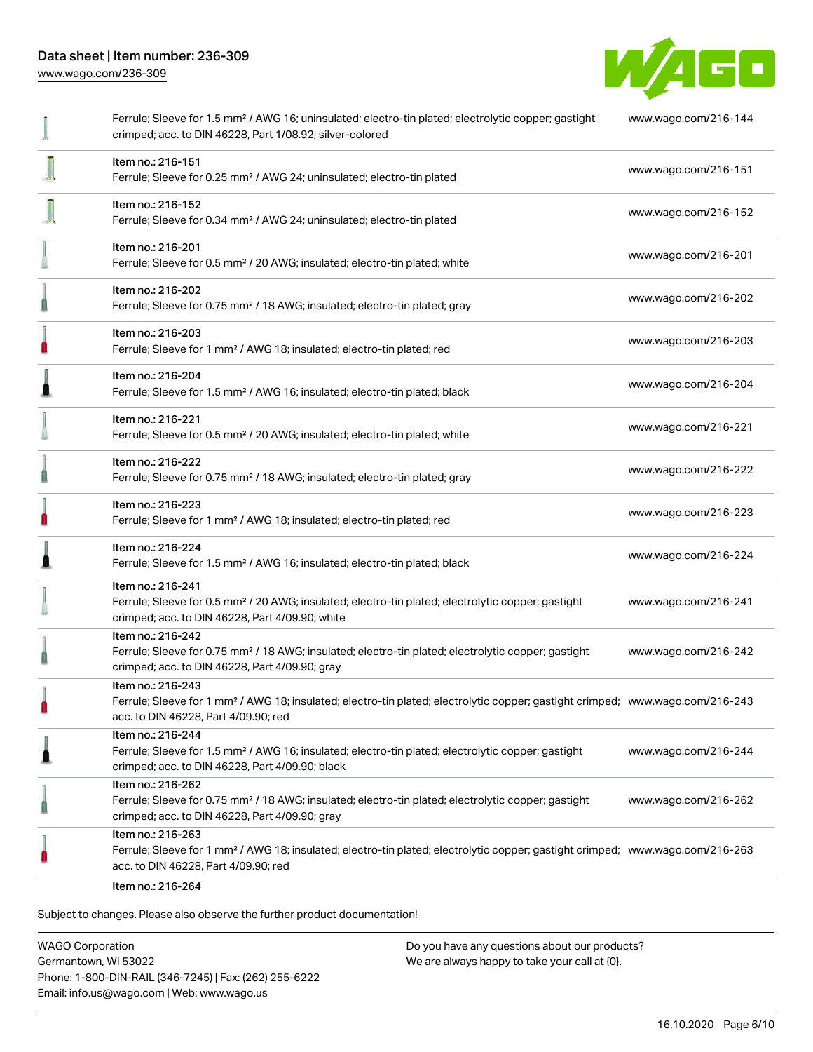

|   | Ferrule; Sleeve for 1.5 mm <sup>2</sup> / AWG 16; uninsulated; electro-tin plated; electrolytic copper; gastight<br>crimped; acc. to DIN 46228, Part 1/08.92; silver-colored                            | www.wago.com/216-144 |
|---|---------------------------------------------------------------------------------------------------------------------------------------------------------------------------------------------------------|----------------------|
|   | Item no.: 216-151<br>Ferrule; Sleeve for 0.25 mm <sup>2</sup> / AWG 24; uninsulated; electro-tin plated                                                                                                 | www.wago.com/216-151 |
|   | Item no.: 216-152<br>Ferrule; Sleeve for 0.34 mm <sup>2</sup> / AWG 24; uninsulated; electro-tin plated                                                                                                 | www.wago.com/216-152 |
|   | Item no.: 216-201<br>Ferrule; Sleeve for 0.5 mm <sup>2</sup> / 20 AWG; insulated; electro-tin plated; white                                                                                             | www.wago.com/216-201 |
|   | Item no.: 216-202<br>Ferrule; Sleeve for 0.75 mm <sup>2</sup> / 18 AWG; insulated; electro-tin plated; gray                                                                                             | www.wago.com/216-202 |
| ı | Item no.: 216-203<br>Ferrule; Sleeve for 1 mm <sup>2</sup> / AWG 18; insulated; electro-tin plated; red                                                                                                 | www.wago.com/216-203 |
| I | Item no.: 216-204<br>Ferrule; Sleeve for 1.5 mm <sup>2</sup> / AWG 16; insulated; electro-tin plated; black                                                                                             | www.wago.com/216-204 |
|   | Item no.: 216-221<br>Ferrule; Sleeve for 0.5 mm <sup>2</sup> / 20 AWG; insulated; electro-tin plated; white                                                                                             | www.wago.com/216-221 |
|   | Item no.: 216-222<br>Ferrule; Sleeve for 0.75 mm <sup>2</sup> / 18 AWG; insulated; electro-tin plated; gray                                                                                             | www.wago.com/216-222 |
| O | Item no.: 216-223<br>Ferrule; Sleeve for 1 mm <sup>2</sup> / AWG 18; insulated; electro-tin plated; red                                                                                                 | www.wago.com/216-223 |
| 1 | Item no.: 216-224<br>Ferrule; Sleeve for 1.5 mm <sup>2</sup> / AWG 16; insulated; electro-tin plated; black                                                                                             | www.wago.com/216-224 |
|   | Item no.: 216-241<br>Ferrule; Sleeve for 0.5 mm <sup>2</sup> / 20 AWG; insulated; electro-tin plated; electrolytic copper; gastight<br>crimped; acc. to DIN 46228, Part 4/09.90; white                  | www.wago.com/216-241 |
|   | Item no.: 216-242<br>Ferrule; Sleeve for 0.75 mm <sup>2</sup> / 18 AWG; insulated; electro-tin plated; electrolytic copper; gastight<br>crimped; acc. to DIN 46228, Part 4/09.90; gray                  | www.wago.com/216-242 |
| ш | Item no.: 216-243<br>Ferrule; Sleeve for 1 mm <sup>2</sup> / AWG 18; insulated; electro-tin plated; electrolytic copper; gastight crimped; www.wago.com/216-243<br>acc. to DIN 46228, Part 4/09.90; red |                      |
| I | Item no.: 216-244<br>Ferrule; Sleeve for 1.5 mm <sup>2</sup> / AWG 16; insulated; electro-tin plated; electrolytic copper; gastight<br>crimped; acc. to DIN 46228, Part 4/09.90; black                  | www.wago.com/216-244 |
|   | Item no.: 216-262<br>Ferrule; Sleeve for 0.75 mm <sup>2</sup> / 18 AWG; insulated; electro-tin plated; electrolytic copper; gastight<br>crimped; acc. to DIN 46228, Part 4/09.90; gray                  | www.wago.com/216-262 |
|   | Item no.: 216-263<br>Ferrule; Sleeve for 1 mm <sup>2</sup> / AWG 18; insulated; electro-tin plated; electrolytic copper; gastight crimped; www.wago.com/216-263<br>acc. to DIN 46228, Part 4/09.90; red |                      |
|   | Item no.: 216-264                                                                                                                                                                                       |                      |

Subject to changes. Please also observe the further product documentation!

WAGO Corporation Germantown, WI 53022 Phone: 1-800-DIN-RAIL (346-7245) | Fax: (262) 255-6222 Email: info.us@wago.com | Web: www.wago.us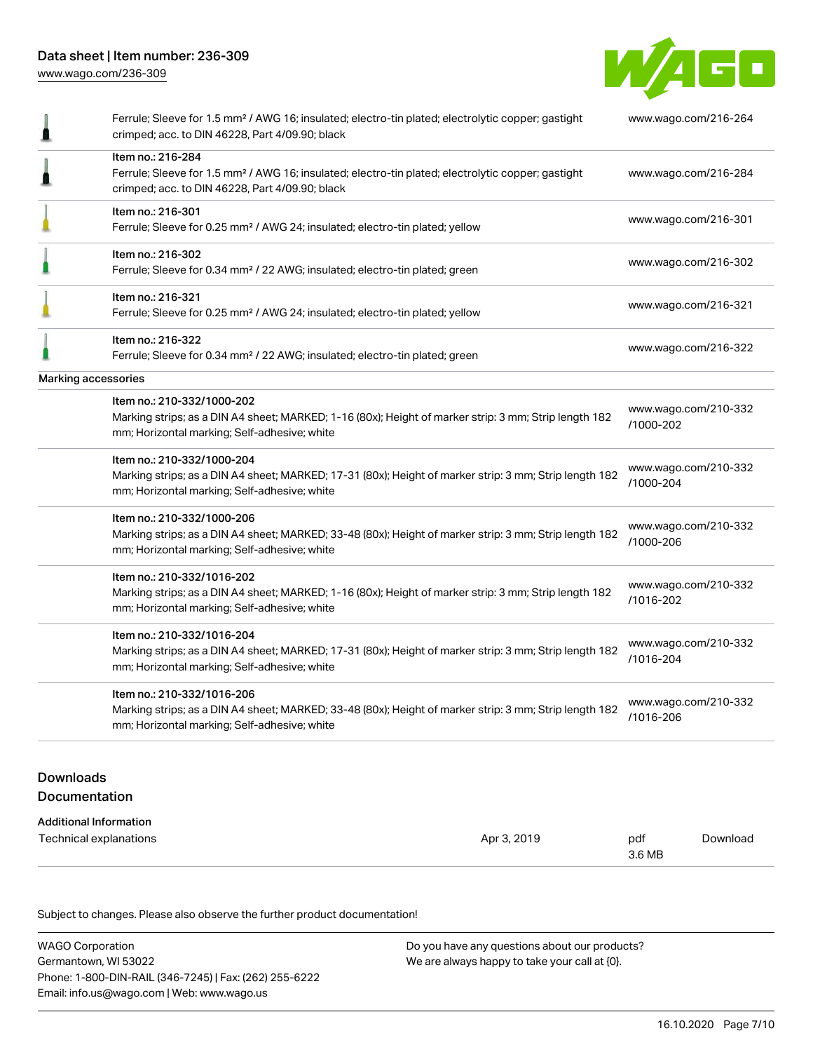

|                                   | Ferrule; Sleeve for 1.5 mm <sup>2</sup> / AWG 16; insulated; electro-tin plated; electrolytic copper; gastight<br>crimped; acc. to DIN 46228, Part 4/09.90; black                      | www.wago.com/216-264              |
|-----------------------------------|----------------------------------------------------------------------------------------------------------------------------------------------------------------------------------------|-----------------------------------|
|                                   | Item no.: 216-284<br>Ferrule; Sleeve for 1.5 mm <sup>2</sup> / AWG 16; insulated; electro-tin plated; electrolytic copper; gastight<br>crimped; acc. to DIN 46228, Part 4/09.90; black | www.wago.com/216-284              |
|                                   | Item no.: 216-301<br>Ferrule; Sleeve for 0.25 mm <sup>2</sup> / AWG 24; insulated; electro-tin plated; yellow                                                                          | www.wago.com/216-301              |
|                                   | Item no.: 216-302<br>Ferrule; Sleeve for 0.34 mm <sup>2</sup> / 22 AWG; insulated; electro-tin plated; green                                                                           | www.wago.com/216-302              |
|                                   | Item no.: 216-321<br>Ferrule; Sleeve for 0.25 mm <sup>2</sup> / AWG 24; insulated; electro-tin plated; yellow                                                                          | www.wago.com/216-321              |
|                                   | Item no.: 216-322<br>Ferrule; Sleeve for 0.34 mm <sup>2</sup> / 22 AWG; insulated; electro-tin plated; green                                                                           | www.wago.com/216-322              |
| Marking accessories               |                                                                                                                                                                                        |                                   |
|                                   | Item no.: 210-332/1000-202<br>Marking strips; as a DIN A4 sheet; MARKED; 1-16 (80x); Height of marker strip: 3 mm; Strip length 182<br>mm; Horizontal marking; Self-adhesive; white    | www.wago.com/210-332<br>/1000-202 |
|                                   | Item no.: 210-332/1000-204<br>Marking strips; as a DIN A4 sheet; MARKED; 17-31 (80x); Height of marker strip: 3 mm; Strip length 182<br>mm; Horizontal marking; Self-adhesive; white   | www.wago.com/210-332<br>/1000-204 |
|                                   | Item no.: 210-332/1000-206<br>Marking strips; as a DIN A4 sheet; MARKED; 33-48 (80x); Height of marker strip: 3 mm; Strip length 182<br>mm; Horizontal marking; Self-adhesive; white   | www.wago.com/210-332<br>/1000-206 |
|                                   | Item no.: 210-332/1016-202<br>Marking strips; as a DIN A4 sheet; MARKED; 1-16 (80x); Height of marker strip: 3 mm; Strip length 182<br>mm; Horizontal marking; Self-adhesive; white    | www.wago.com/210-332<br>/1016-202 |
|                                   | Item no.: 210-332/1016-204<br>Marking strips; as a DIN A4 sheet; MARKED; 17-31 (80x); Height of marker strip: 3 mm; Strip length 182<br>mm; Horizontal marking; Self-adhesive; white   | www.wago.com/210-332<br>/1016-204 |
|                                   | Item no.: 210-332/1016-206<br>Marking strips; as a DIN A4 sheet; MARKED; 33-48 (80x); Height of marker strip: 3 mm; Strip length 182<br>mm; Horizontal marking; Self-adhesive; white   | www.wago.com/210-332<br>/1016-206 |
| <b>Downloads</b><br>Documentation |                                                                                                                                                                                        |                                   |

| <b>Additional Information</b> |             |        |          |
|-------------------------------|-------------|--------|----------|
| Technical explanations        | Apr 3, 2019 | pdf    | Download |
|                               |             | 3.6 MB |          |

Subject to changes. Please also observe the further product documentation!

| WAGO Corporation                                       | Do you have any questions about our products? |
|--------------------------------------------------------|-----------------------------------------------|
| Germantown, WI 53022                                   | We are always happy to take your call at {0}. |
| Phone: 1-800-DIN-RAIL (346-7245)   Fax: (262) 255-6222 |                                               |
| Email: info.us@wago.com   Web: www.wago.us             |                                               |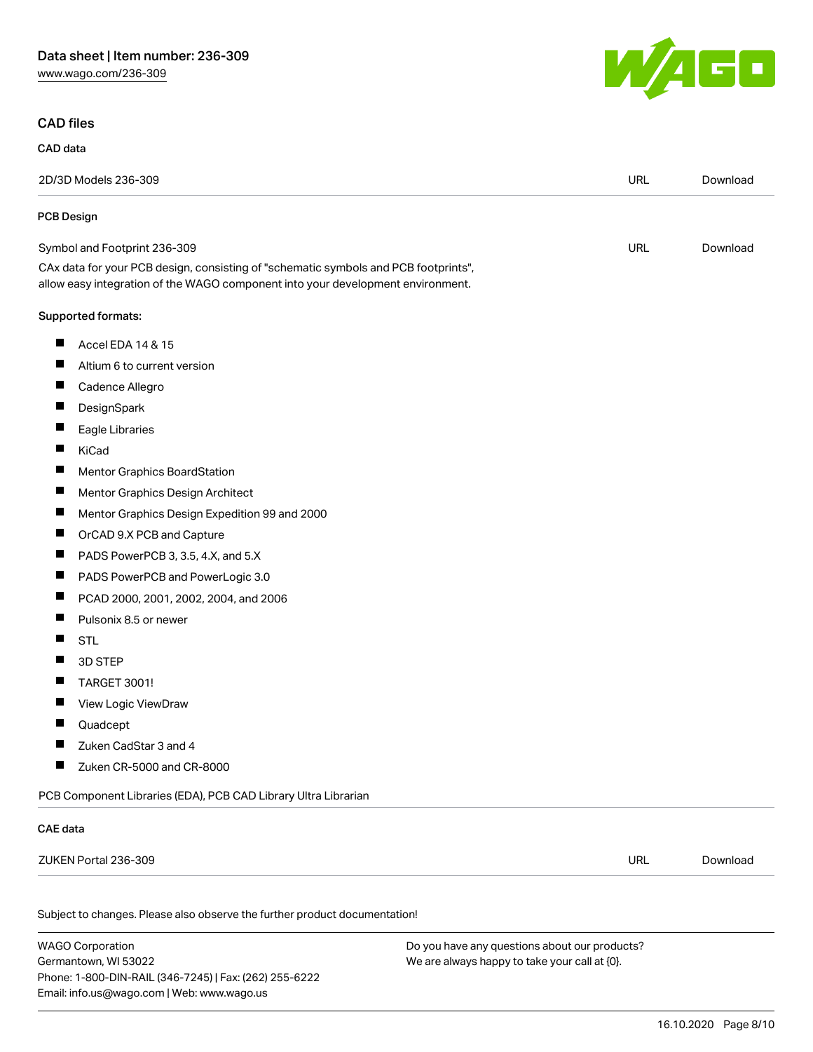Phone: 1-800-DIN-RAIL (346-7245) | Fax: (262) 255-6222

Email: info.us@wago.com | Web: www.wago.us

## CAD files

## CAD data

| 2D/3D Models 236-309                                                                                                                                                   |                                                                                                | <b>URL</b> | Download |
|------------------------------------------------------------------------------------------------------------------------------------------------------------------------|------------------------------------------------------------------------------------------------|------------|----------|
| PCB Design                                                                                                                                                             |                                                                                                |            |          |
| Symbol and Footprint 236-309                                                                                                                                           |                                                                                                | <b>URL</b> | Download |
| CAx data for your PCB design, consisting of "schematic symbols and PCB footprints",<br>allow easy integration of the WAGO component into your development environment. |                                                                                                |            |          |
| Supported formats:                                                                                                                                                     |                                                                                                |            |          |
| ш<br>Accel EDA 14 & 15                                                                                                                                                 |                                                                                                |            |          |
| Altium 6 to current version                                                                                                                                            |                                                                                                |            |          |
| ш<br>Cadence Allegro                                                                                                                                                   |                                                                                                |            |          |
| ш<br>DesignSpark                                                                                                                                                       |                                                                                                |            |          |
| Eagle Libraries                                                                                                                                                        |                                                                                                |            |          |
| KiCad                                                                                                                                                                  |                                                                                                |            |          |
| Mentor Graphics BoardStation<br>ш                                                                                                                                      |                                                                                                |            |          |
| Mentor Graphics Design Architect                                                                                                                                       |                                                                                                |            |          |
| ш<br>Mentor Graphics Design Expedition 99 and 2000                                                                                                                     |                                                                                                |            |          |
| OrCAD 9.X PCB and Capture<br>ш                                                                                                                                         |                                                                                                |            |          |
| ш<br>PADS PowerPCB 3, 3.5, 4.X, and 5.X                                                                                                                                |                                                                                                |            |          |
| ш<br>PADS PowerPCB and PowerLogic 3.0                                                                                                                                  |                                                                                                |            |          |
| ш<br>PCAD 2000, 2001, 2002, 2004, and 2006                                                                                                                             |                                                                                                |            |          |
| ш<br>Pulsonix 8.5 or newer                                                                                                                                             |                                                                                                |            |          |
| ш<br><b>STL</b>                                                                                                                                                        |                                                                                                |            |          |
| 3D STEP                                                                                                                                                                |                                                                                                |            |          |
| <b>TARGET 3001!</b><br>ш                                                                                                                                               |                                                                                                |            |          |
| View Logic ViewDraw<br>ш                                                                                                                                               |                                                                                                |            |          |
| Quadcept                                                                                                                                                               |                                                                                                |            |          |
| Zuken CadStar 3 and 4<br>ш                                                                                                                                             |                                                                                                |            |          |
| Zuken CR-5000 and CR-8000<br>ш                                                                                                                                         |                                                                                                |            |          |
| PCB Component Libraries (EDA), PCB CAD Library Ultra Librarian                                                                                                         |                                                                                                |            |          |
| <b>CAE</b> data                                                                                                                                                        |                                                                                                |            |          |
| ZUKEN Portal 236-309                                                                                                                                                   |                                                                                                | <b>URL</b> | Download |
| Subject to changes. Please also observe the further product documentation!                                                                                             |                                                                                                |            |          |
| <b>WAGO Corporation</b><br>Germantown, WI 53022                                                                                                                        | Do you have any questions about our products?<br>We are always happy to take your call at {0}. |            |          |



16.10.2020 Page 8/10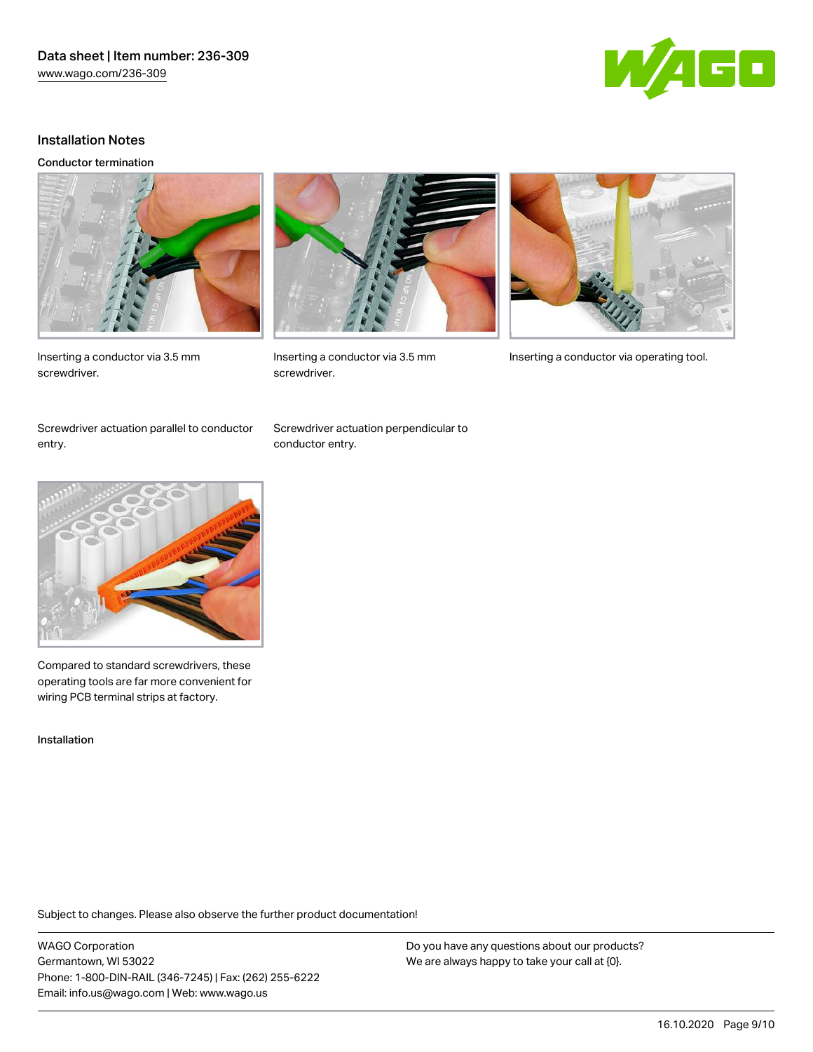

#### Installation Notes

#### Conductor termination

screwdriver.







screwdriver.



Inserting a conductor via 3.5 mm Inserting a conductor via operating tool.

Screwdriver actuation parallel to conductor entry.



Compared to standard screwdrivers, these operating tools are far more convenient for wiring PCB terminal strips at factory.

Installation

Screwdriver actuation perpendicular to conductor entry.

Subject to changes. Please also observe the further product documentation!

WAGO Corporation Germantown, WI 53022 Phone: 1-800-DIN-RAIL (346-7245) | Fax: (262) 255-6222 Email: info.us@wago.com | Web: www.wago.us